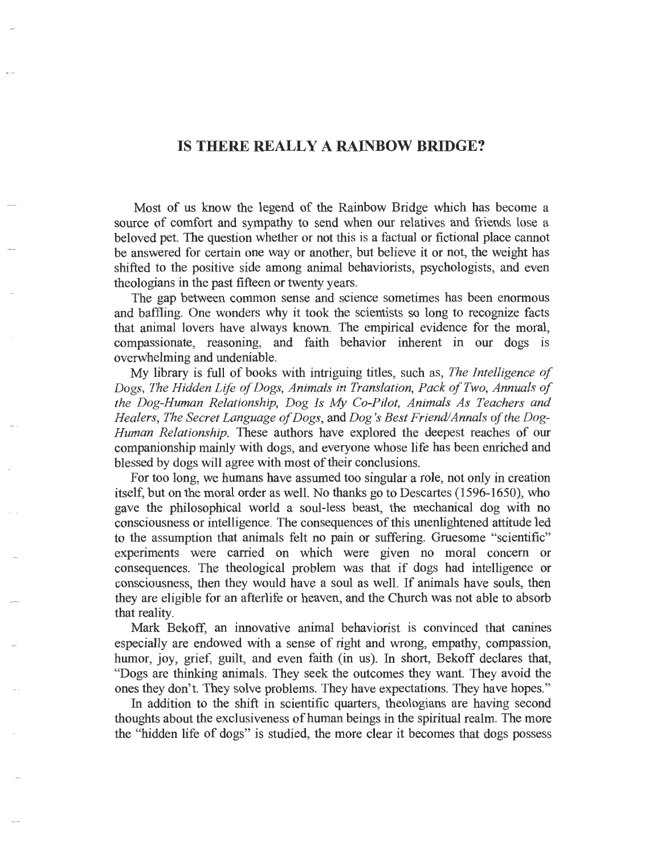## **IS THERE REALLY A RAINBOW BRIDGE?**

Most of us know the legend of the Rainbow Bridge which has become a source of comfort and sympathy to send when our relatives and friends lose a beloved pet. The question whether or not this is a factual or fictional place cannot be answered for certain one way or another, but believe it or not, the weight has shifted to the positive side among animal behaviorists, psychologists, and even theologians in the past fifteen or twenty years.

The gap between common sense and science sometimes has been enormous and baffling. One wonders why it took the scientists so long to recognize facts that animal lovers have always known. The empirical evidence for the moral, compassionate, reasoning, and faith behavior inherent in our dogs is overwhelming and undeniable.

My library is full of books with intriguing titles, such as, *The Intelligence of*  Dogs, The Hidden Life of Dogs, Animals in Translation, Pack of Two, Annuals of *the Dog-Human Relationship, Dog Is My Co-Pilot, Animals As Teachers and Healers, The Secret Language of Dogs,* and *Dog's Best Friend/Annals of the Dog-Human Relationship.* These authors have explored the deepest reaches of our companionship mainly with dogs, and everyone whose life has been enriched and blessed by dogs will agree with most of their conclusions.

For too long, we humans have assumed too singular a role, not only in creation itself, but on the moral order as well. No thanks go to Descartes (1596-1650), who gave the philosophical world a soul-less beast, the mechanical dog with no consciousness or intelligence. The consequences of this unenlightened attitude led to the assumption that animals felt no pain or suffering. Gruesome "scientific" experiments were carried on which were given no moral concern or consequences. The theological problem was that if dogs had intelligence or consciousness, then they would have a soul as well. If animals have souls, then they are eligible for an afterlife or heaven, and the Church was not able to absorb that reality.

Mark Bekoff, an innovative animal behaviorist is convinced that canines especially are endowed with a sense of right and wrong, empathy, compassion, humor, joy, grief, guilt, and even faith (in us). In short, Bekoff declares that, "Dogs are thinking animals. They seek the outcomes they want. They avoid the ones they don't. They solve problems. They have expectations. They have hopes."

In addition to the shift in scientific quarters, theologians are having second thoughts about the exclusiveness of human beings in the spiritual realm. The more the "hidden life of dogs" is studied, the more clear it becomes that dogs possess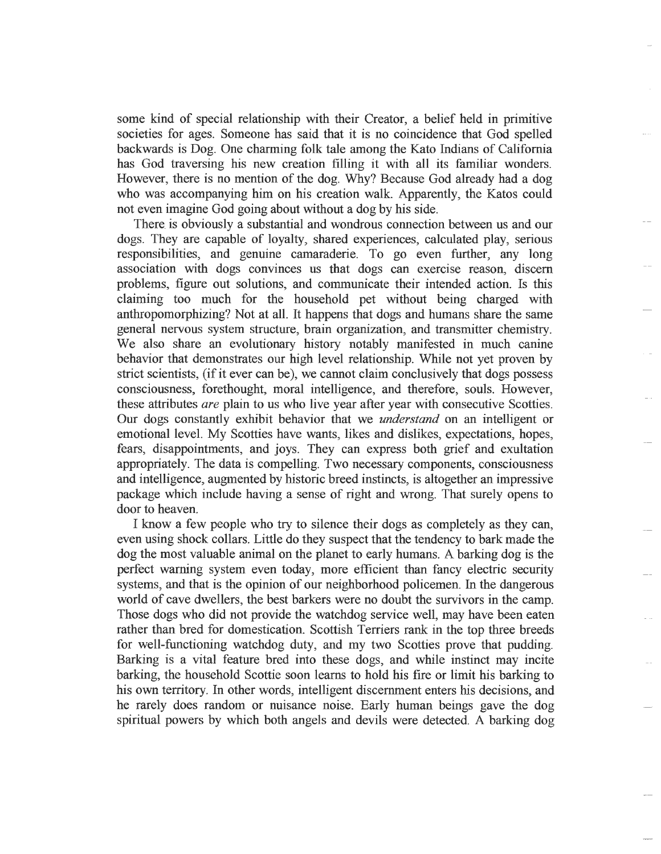some kind of special relationship with their Creator, a belief held in primitive societies for ages. Someone has said that it is no coincidence that God spelled backwards is Dog. One charming folk tale among the Kato Indians of California has God traversing his new creation filling it with all its familiar wonders. However, there is no mention of the dog. Why? Because God already had a dog who was accompanying him on his creation walk. Apparently, the Katos could not even imagine God going about without a dog by his side.

There. is obviously a substantial and wondrous connection between us and our dogs. They are capable of loyalty, shared experiences, calculated play, serious responsibilities, and genuine camaraderie. To go even further, any long association with dogs convinces us that dogs can exercise reason, discern problems, figure out solutions, and communicate their intended action. Is this claiming too much for the household pet without being charged with anthropomorphizing? Not at all. It happens that dogs and humans share the same general nervous system structure, brain organization, and transmitter chemistry. We also share an evolutionary history notably manifested in much canine behavior that demonstrates our high level relationship. While not yet proven by strict scientists, (if it ever can be), we cannot claim conclusively that dogs possess consciousness, forethought, moral intelligence, and therefore, souls. However, these attributes *are* plain to us who live year after year with consecutive Scotties. Our dogs constantly exhibit behavior that we *understand* on an intelligent or emotional level. My Scotties have wants, likes and dislikes, expectations, hopes, fears, disappointments, and joys. They can express both grief and exultation appropriately. The data is compelling. Two necessary components, consciousness and intelligence, augmented by historic breed instincts, is altogether an impressive package which include having a sense of right and wrong. That surely opens to door to heaven.

I know a few people who try to silence their dogs as completely as they can, even using shock collars. Little do they suspect that the tendency to bark made the dog the most valuable animal on the planet to early humans. A barking dog is the perfect warning system even today, more efficient than fancy electric security systems, and that is the opinion of our neighborhood policemen. In the dangerous world of cave dwellers, the best barkers were no doubt the survivors in the camp. Those dogs who did not provide the watchdog service well, may have been eaten rather than bred for domestication. Scottish Terriers rank in the top three breeds for well-functioning watchdog duty, and my two Scotties prove that pudding. Barking is a vital feature bred into these dogs, and while instinct may incite barking, the household Scottie soon learns to hold his fire or limit his barking to his own territory. In other words, intelligent discernment enters his decisions, and he rarely does random or nuisance noise. Early human beings gave the dog spiritual powers by which both angels and devils were detected. A barking dog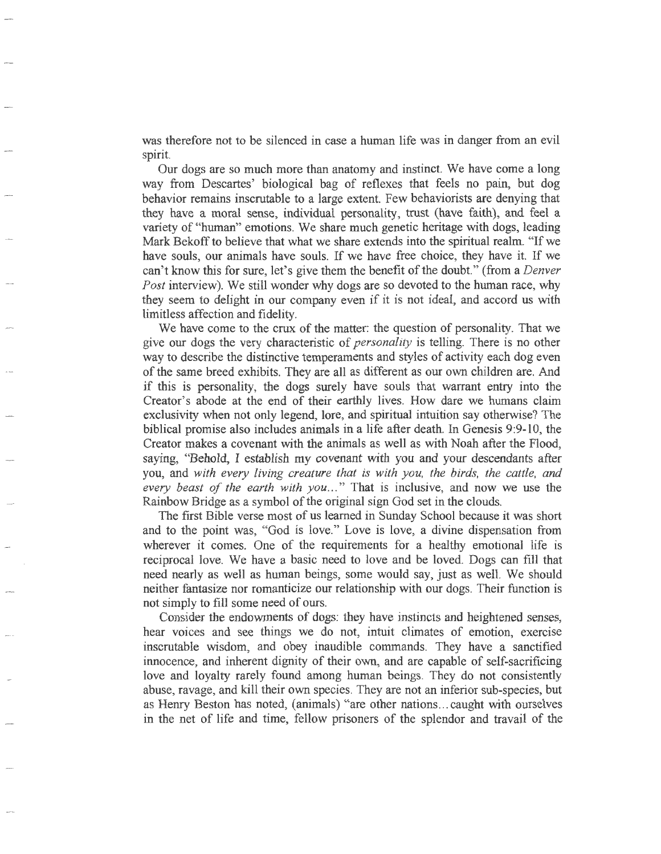was therefore not to be silenced in case a human life was in danger from an evil spirit.

Our dogs are so much more than anatomy and instinct. We have come a long way from Descartes'· biological bag of reflexes that feels no pain, but dog behavior remains inscrutable to a large extent. Few behaviorists are denying that they have a moral sense, individual personality, trust (have faith), and feel a variety of "human" emotions. We share much genetic heritage with dogs, leading Mark Bekoff to believe that what we share extends into the spiritual realm. "If we have souls, our animals have souls. If we have free choice, they have it. If we can't know this for sure, let's give them the benefit of the doubt." (from a *Denver Post* interview). We still wonder why dogs are so devoted to the human race, why they seem to delight in our company even if it is not ideal, and accord us with limitless affection and fidelity.

We have come to the crux of the matter: the question of personality. That we give our dogs the very characteristic of *personality* is telling. There is no other way to describe the distinctive temperaments and styles of activity each dog even of the same breed exhibits. They are all as different as our own children are. And if this is personality, the dogs surely have souls that warrant entry into the Creator's abode at the end of their earthly lives. How dare we humans claim exclusivity when not only legend, lore, and spiritual intuition say otherwise? The biblical promise also includes animals in a life after death. In Genesis 9:9-10, the Creator makes a covenant with the animals as well as with Noah after the Flood, saying, "Behold, I establish my covenant with you and your descendants after you, and *with every living creature that is with you, the birds, the cattle, and every beast of the earth with you ... "* That is inclusive, and now we use the Rainbow Bridge as a symbol of the original sign God set in the clouds.

The first Bible verse most of us learned in Sunday School because it was short and to the point was, "God is love." Love is love, a divine dispensation from wherever it comes. One of the requirements for a healthy emotional life is reciprocal love. We have a basic need to love and be loved. Dogs can fill that need nearly as well as human beings, some would say, just as well. We should neither fantasize nor romanticize our relationship with our dogs. Their function is not simply to fill some need of ours.

Consider the endowments of dogs: they have instincts and heightened senses, hear voices and see things we do not, intuit climates of emotion, exercise inscrutable wisdom, and obey inaudible commands. They have a sanctified innocence, and inherent dignity of their own, and are capable of self-sacrificing love and loyalty rarely found among human beings. They do not consistently abuse, ravage, and kill their own species. They are not an inferior sub-species, but as Henry Beston has noted, (animals) "are other nations ... caught with ourselves in the net of life and time, fellow prisoners of the splendor and travail of the